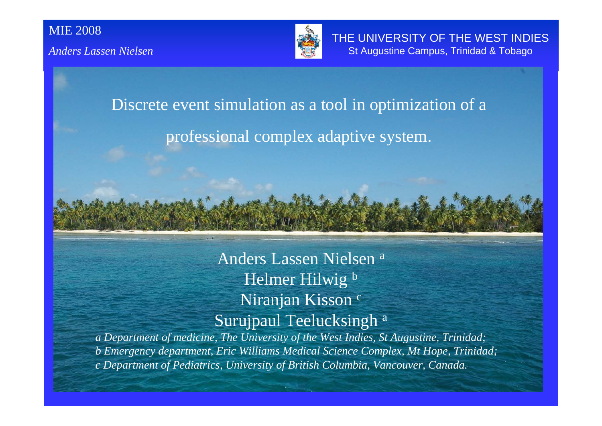

Discrete event simulation as a tool in optimization of a professional complex adaptive system.

> Anders Lassen Nielsen a Helmer Hilwig b Niranjan Kisson<sup>c</sup> Surujpaul Teelucksingh a

*a Department of medicine, The University of the West Indies, St Augustine, Trinidad; b Emergency department, Eric Williams Medical Science Complex, Mt Hope, Trinidad; c Department of Pediatrics, University of British Columbia, Vancouver, Canada.*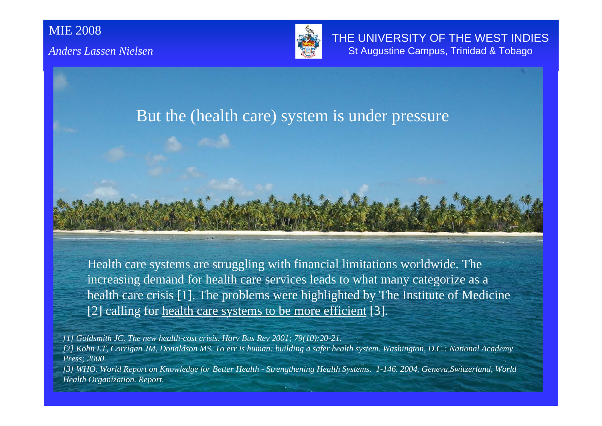

THE UNIVERSITY OF THE WEST INDIES St Augustine Campus, Trinidad & Tobago

#### But the (health care) system is under pressure

Health care systems are struggling with financial limitations worldwide. The increasing demand for health care services leads to what many categorize as a health care crisis [1]. The problems were highlighted by The Institute of Medicine [2] calling for health care systems to be more efficient [3].

*[1] Goldsmith JC. The new health-cost crisis. Harv Bus Rev 2001; 79(10):20-21.*

*[2] Kohn LT, Corrigan JM, Donaldson MS. To err is human: building a safer health system. Washington, D.C.: National Academy Press; 2000. [3] WHO. World Report on Knowledge for Better Health - Strengthening Health Systems. 1-146. 2004. Geneva,Switzerland, World Health Organization. Report.*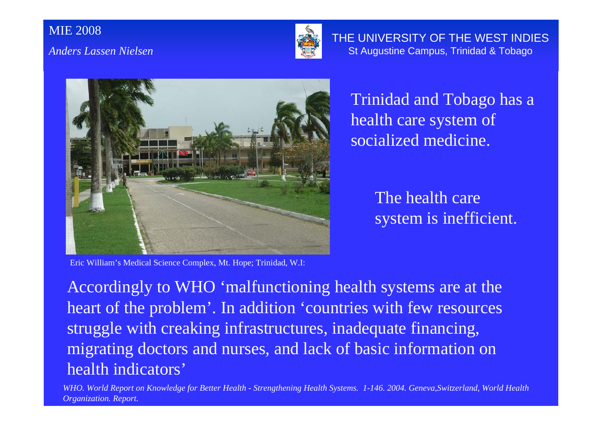

THE UNIVERSITY OF THE WEST INDIES St Augustine Campus, Trinidad & Tobago



Trinidad and Tobago has a health care system of socialized medicine.

> The health care system is inefficient.

Eric William's Medical Science Complex, Mt. Hope; Trinidad, W.I:

Accordingly to WHO 'malfunctioning health systems are at the heart of the problem'. In addition 'countries with few resources struggle with creaking infrastructures, inadequate financing, migrating doctors and nurses, and lack of basic information on health indicators'

*WHO. World Report on Knowledge for Better Health - Strengthening Health Systems. 1-146. 2004. Geneva,Switzerland, World Health Organization. Report.*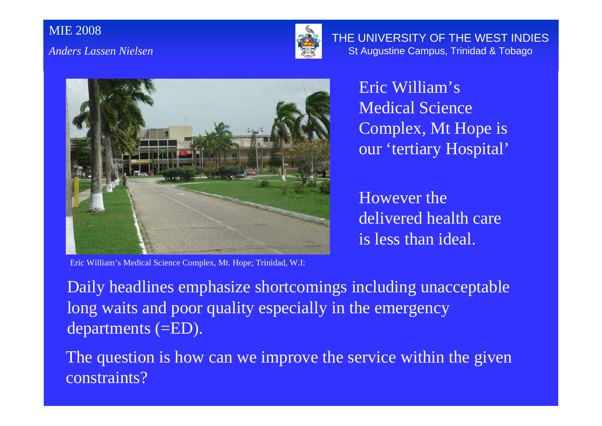

THE UNIVERSITY OF THE WEST INDIES St Augustine Campus, Trinidad & Tobago



Eric William's Medical Science Complex, Mt Hope is our 'tertiary Hospital'

However the delivered health care is less than ideal.

Eric William's Medical Science Complex, Mt. Hope; Trinidad, W.I:

Daily headlines emphasize shortcomings including unacceptable long waits and poor quality especially in the emergency departments (=ED).

The question is how can we improve the service within the given constraints?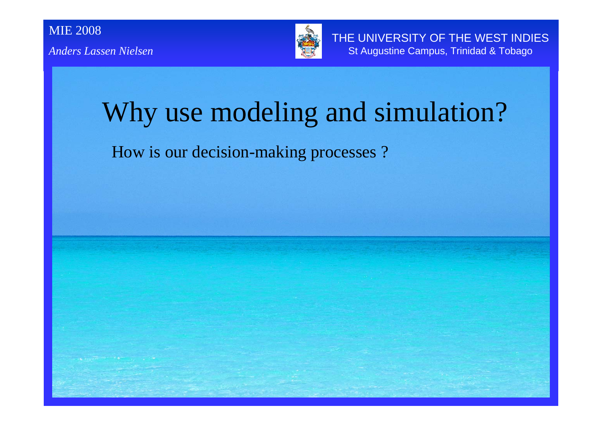

# Why use modeling and simulation?

How is our decision-making processes ?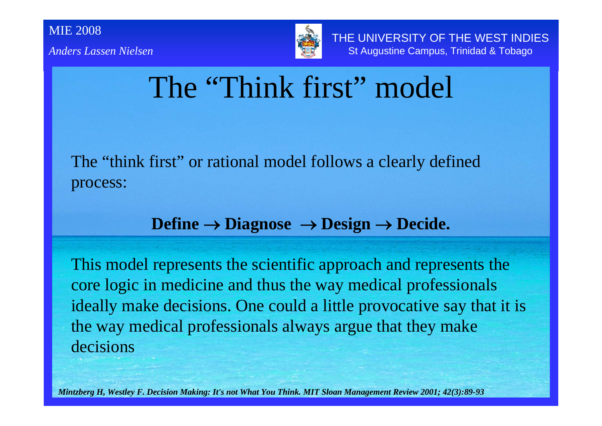



THE UNIVERSITY OF THE WEST INDIES St Augustine Campus, Trinidad & Tobago

### The "Think first" model

The "think first" or rational model follows a clearly defined process:

#### **Define** → **Diagnose** <sup>→</sup> **Design** <sup>→</sup> **Decide.**

This model represents the scientific approach and represents the core logic in medicine and thus the way medical professionals ideally make decisions. One could a little provocative say that it is the way medical professionals always argue that they make decisions

*Mintzberg H, Westley F. Decision Making: It's not What You Think. MIT Sloan Management Review 2001; 42(3):89-93*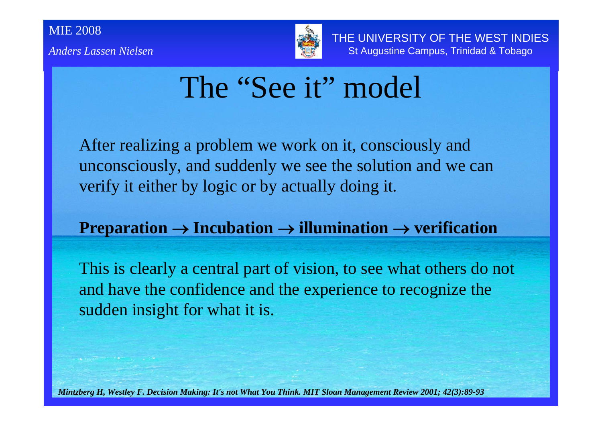

THE UNIVERSITY OF THE WEST INDIES St Augustine Campus, Trinidad & Tobago

### The "See it" model

After realizing a problem we work on it, consciously and unconsciously, and suddenly we see the solution and we can verify it either by logic or by actually doing it.

#### **Preparation** <sup>→</sup> **Incubation** <sup>→</sup> **illumination** <sup>→</sup> **verification**

This is clearly a central part of vision, to see what others do not and have the confidence and the experience to recognize the sudden insight for what it is.

*Mintzberg H, Westley F. Decision Making: It's not What You Think. MIT Sloan Management Review 2001; 42(3):89-93*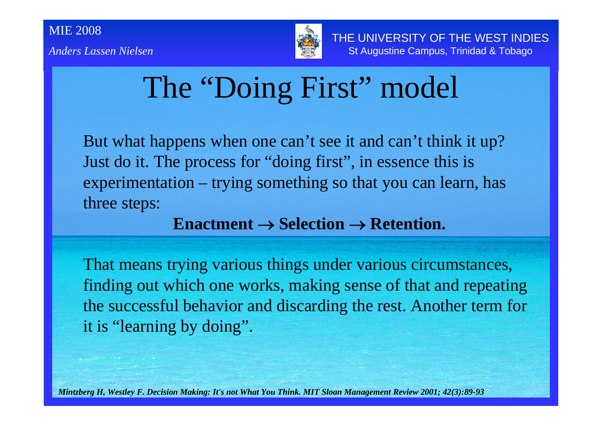

# The "Doing First" model

But what happens when one can't see it and can't think it up? Just do it. The process for "doing first", in essence this is experimentation – trying something so that you can learn, has three steps:

#### **Enactment** → **Selection** → **Retention.**

That means trying various things under various circumstances, finding out which one works, making sense of that and repeating the successful behavior and discarding the rest. Another term for it is "learning by doing".

*Mintzberg H, Westley F. Decision Making: It's not What You Think. MIT Sloan Management Review 2001; 42(3):89-93*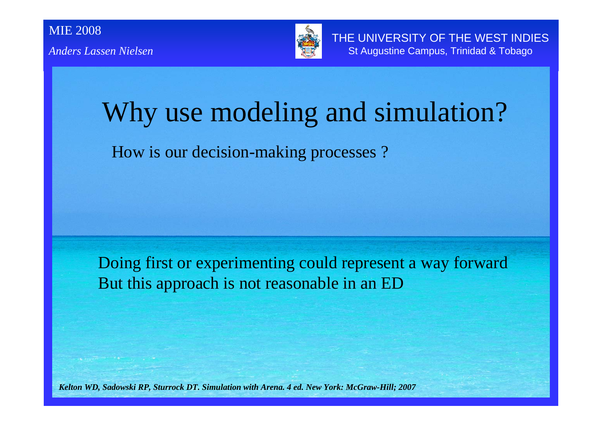

# Why use modeling and simulation?

How is our decision-making processes ?

Doing first or experimenting could represent a way forward But this approach is not reasonable in an ED

*Kelton WD, Sadowski RP, Sturrock DT. Simulation with Arena. 4 ed. New York: McGraw-Hill; 2007*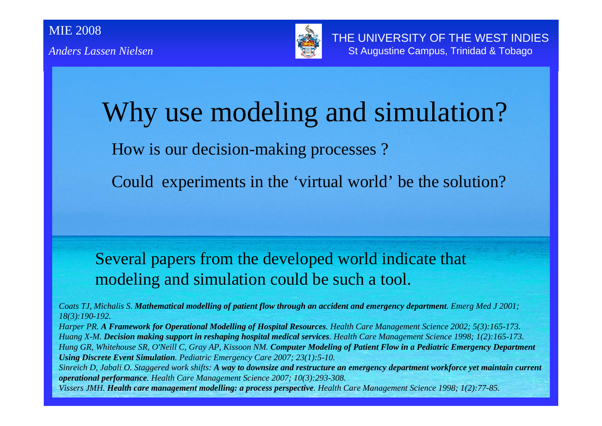

# Why use modeling and simulation? How is our decision-making processes ?

Could experiments in the 'virtual world' be the solution?

Several papers from the developed world indicate that modeling and simulation could be such a tool.

*Coats TJ, Michalis S. Mathematical modelling of patient flow through an accident and emergency department. Emerg Med J 2001; 18(3):190-192.*

*Harper PR. A Framework for Operational Modelling of Hospital Resources. Health Care Management Science 2002; 5(3):165-173. Huang X-M. Decision making support in reshaping hospital medical services. Health Care Management Science 1998; 1(2):165-173. Hung GR, Whitehouse SR, O'Neill C, Gray AP, Kissoon NM. Computer Modeling of Patient Flow in a Pediatric Emergency Department Using Discrete Event Simulation. Pediatric Emergency Care 2007; 23(1):5-10.*

*Sinreich D, Jabali O. Staggered work shifts: A way to downsize and restructure an emergency department workforce yet maintain current operational performance. Health Care Management Science 2007; 10(3):293-308.*

*Vissers JMH. Health care management modelling: a process perspective. Health Care Management Science 1998; 1(2):77-85.*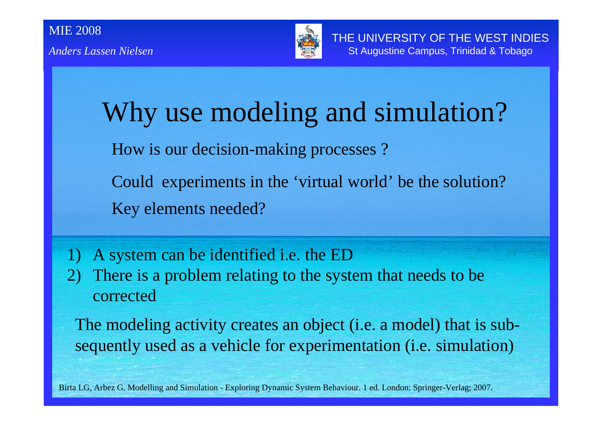

Why use modeling and simulation? How is our decision-making processes ? Could experiments in the 'virtual world' be the solution? Key elements needed?

- 1) A system can be identified i.e. the ED
- 2) There is a problem relating to the system that needs to be corrected

The modeling activity creates an object (i.e. a model) that is subsequently used as a vehicle for experimentation (i.e. simulation)

Birta LG, Arbez G. Modelling and Simulation - Exploring Dynamic System Behaviour. 1 ed. London: Springer-Verlag; 2007.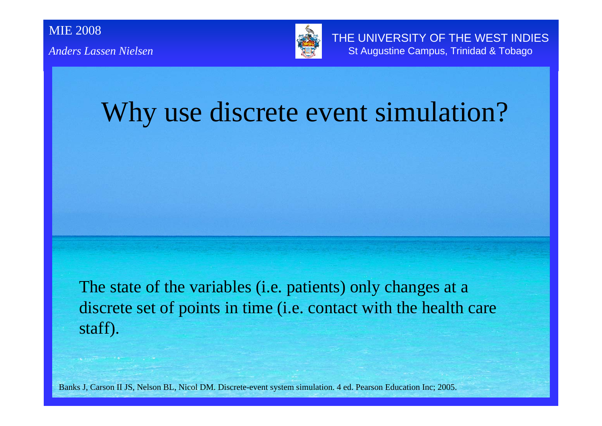

THE UNIVERSITY OF THE WEST INDIES St Augustine Campus, Trinidad & Tobago

### Why use discrete event simulation?

The state of the variables (i.e. patients) only changes at a discrete set of points in time (i.e. contact with the health care staff).

Banks J, Carson II JS, Nelson BL, Nicol DM. Discrete-event system simulation. 4 ed. Pearson Education Inc; 2005.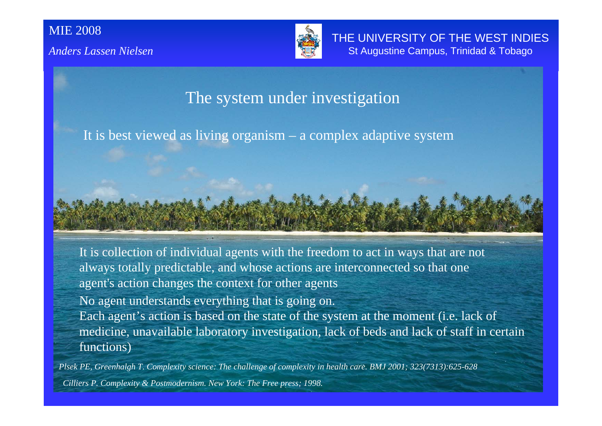

THE UNIVERSITY OF THE WEST INDIES St Augustine Campus, Trinidad & Tobago

#### The system under investigation

It is best viewed as living organism – a complex adaptive system

It is collection of individual agents with the freedom to act in ways that are not always totally predictable, and whose actions are interconnected so that one agen<sup>t</sup>'s action changes the context for other agents

No agent understands everything that is going on. Each agent's action is based on the state of the system at the moment (i.e. lack of medicine, unavailable laboratory investigation, lack of beds and lack of staff in certain functions)

*Plsek PE, Greenhalgh T. Complexity science: The challenge of complexity in health care. BMJ 2001; 323(7313):625-628 Cilliers P. Complexity & Postmodernism. New York: The Free press; 1998.*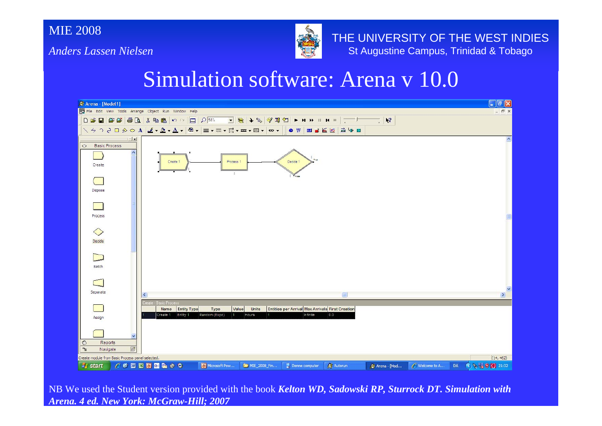*Anders Lassen Nielsen*



THE UNIVERSITY OF THE WEST INDIES St Augustine Campus, Trinidad & Tobago

### Simulation software: Arena v 10.0



NB We used the Student version provided with the book *Kelton WD, Sadowski RP, Sturrock DT. Simulation with Arena. 4 ed. New York: McGraw-Hill; 2007*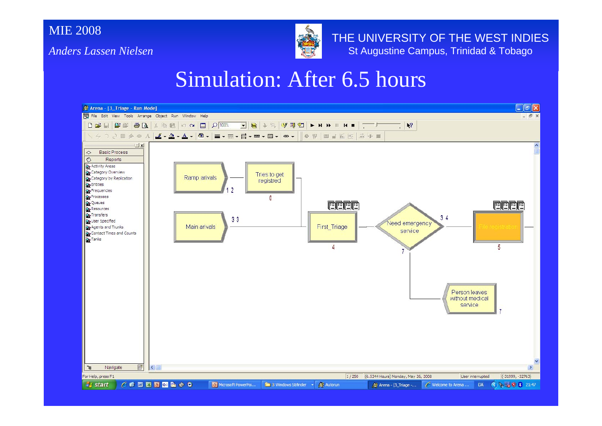*Anders Lassen Nielsen*



THE UNIVERSITY OF THE WEST INDIES St Augustine Campus, Trinidad & Tobago

### Simulation: After 6.5 hours

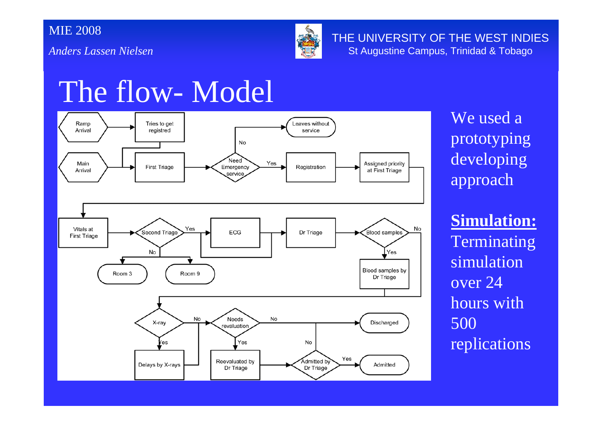*Anders Lassen Nielsen*



THE UNIVERSITY OF THE WEST INDIES St Augustine Campus, Trinidad & Tobago

### The flow- Model



We used a prototyping developing approach

**Simulation:** Terminating simulation over 24 hours with 500 replications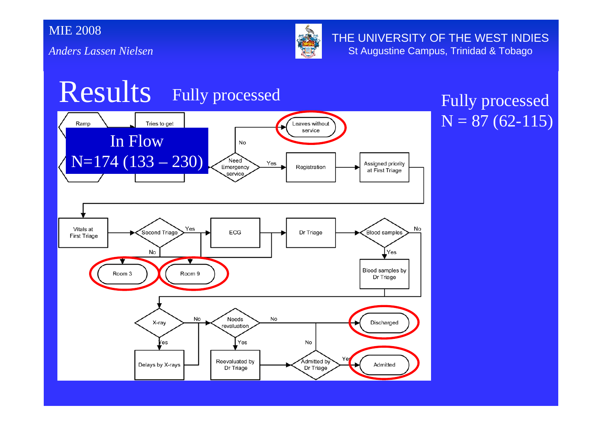*Anders Lassen Nielsen*



THE UNIVERSITY OF THE WEST INDIES St Augustine Campus, Trinidad & Tobago

### Results Fully processed Fully processed



# $N = 87(62 - 115)$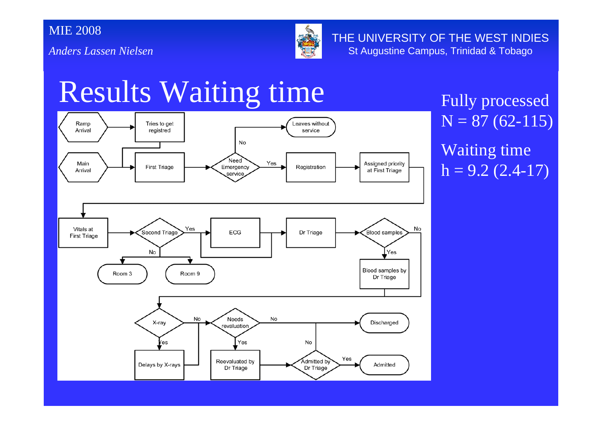*Anders Lassen Nielsen*



THE UNIVERSITY OF THE WEST INDIES St Augustine Campus, Trinidad & Tobago

## Results Waiting time Fully processed



 $N = 87(62 - 115)$ Waiting time  $h = 9.2$  (2.4-17)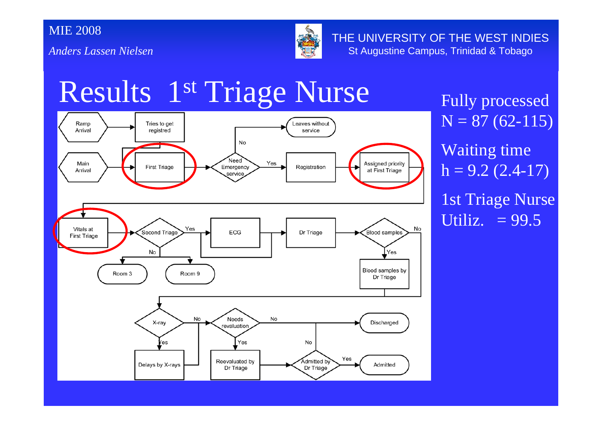*Anders Lassen Nielsen*



THE UNIVERSITY OF THE WEST INDIES St Augustine Campus, Trinidad & Tobago

## Results 1<sup>st</sup> Triage Nurse Fully processed



 $N = 87(62 - 115)$ Waiting time  $h = 9.2$  (2.4-17) 1st Triage Nurse Utiliz.  $= 99.5$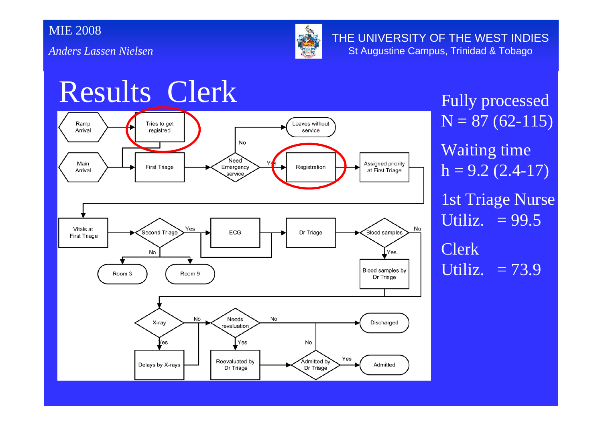*Anders Lassen Nielsen*



THE UNIVERSITY OF THE WEST INDIES St Augustine Campus, Trinidad & Tobago

## Results Clerk Fully processed



 $N = 87(62 - 115)$ Waiting time  $h = 9.2$  (2.4-17) 1st Triage Nurse Utiliz.  $= 99.5$ Clerk Utiliz.  $= 73.9$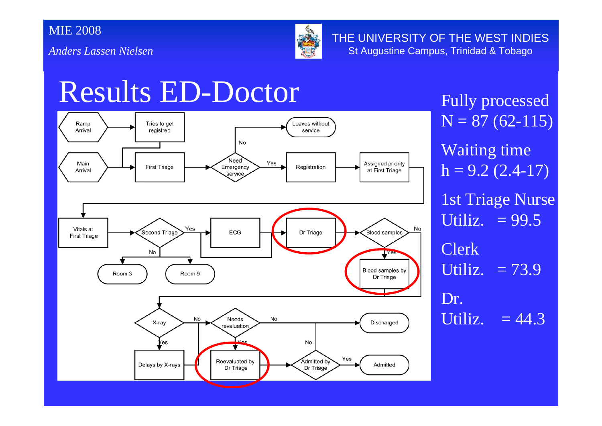*Anders Lassen Nielsen*



THE UNIVERSITY OF THE WEST INDIES St Augustine Campus, Trinidad & Tobago

### Results ED-Doctor Fully processed



 $N = 87(62 - 115)$ Waiting time  $h = 9.2 (2.4 - 17)$ 1st Triage Nurse Utiliz.  $= 99.5$ Clerk Utiliz.  $= 73.9$ Dr.Utiliz.  $= 44.3$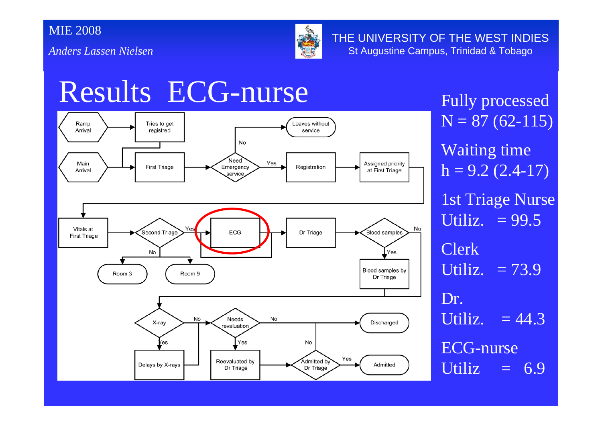*Anders Lassen Nielsen*



THE UNIVERSITY OF THE WEST INDIES St Augustine Campus, Trinidad & Tobago

## Results ECG-nurse Fully processed



 $N = 87(62 - 115)$ Waiting time  $h = 9.2 (2.4 - 17)$ 1st Triage Nurse Utiliz.  $= 99.5$ Clerk Utiliz.  $= 73.9$ Dr.Utiliz.  $= 44.3$ ECG-nurse Utiliz  $= 6.9$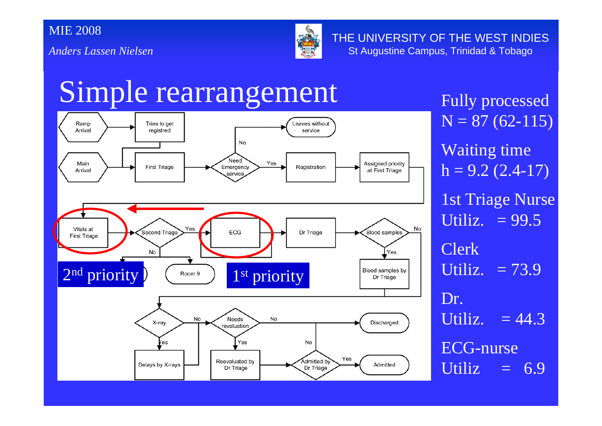

THE UNIVERSITY OF THE WEST INDIES St Augustine Campus, Trinidad & Tobago

### Simple rearrangement Fully processed



 $N = 87(62 - 115)$ Waiting time  $h = 9.2$  (2.4-17) 1st Triage Nurse Utiliz.  $= 99.5$ Clerk Utiliz.  $= 73.9$ Dr.Utiliz.  $= 44.3$ ECG-nurse Utiliz  $= 6.9$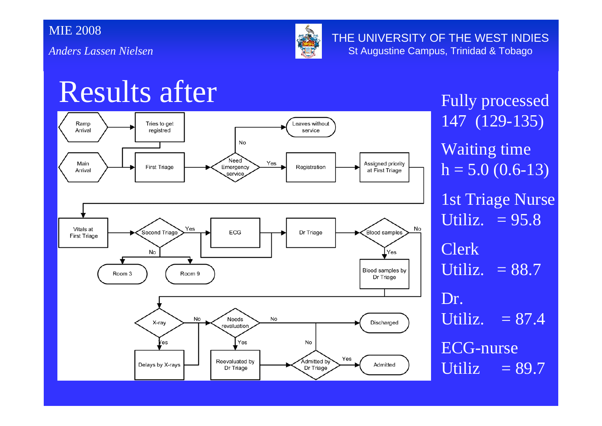*Anders Lassen Nielsen*



THE UNIVERSITY OF THE WEST INDIES St Augustine Campus, Trinidad & Tobago

## Results after Fully processed



147 (129-135) Waiting time  $h = 5.0$  (0.6-13) 1st Triage Nurse Utiliz.  $= 95.8$ Clerk Utiliz.  $= 88.7$ Dr.Utiliz.  $= 87.4$ ECG-nurse Utiliz  $= 89.7$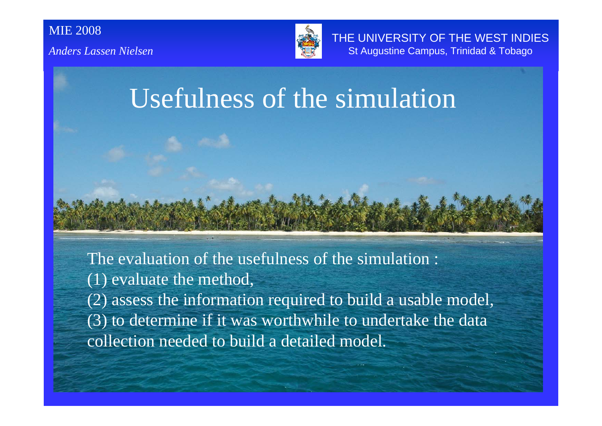

THE UNIVERSITY OF THE WEST INDIES St Augustine Campus, Trinidad & Tobago

### Usefulness of the simulation

The evaluation of the usefulness of the simulation : (1) evaluate the method, (2) assess the information required to build a usable model, (3) to determine if it was worthwhile to undertake the data collection needed to build a detailed model.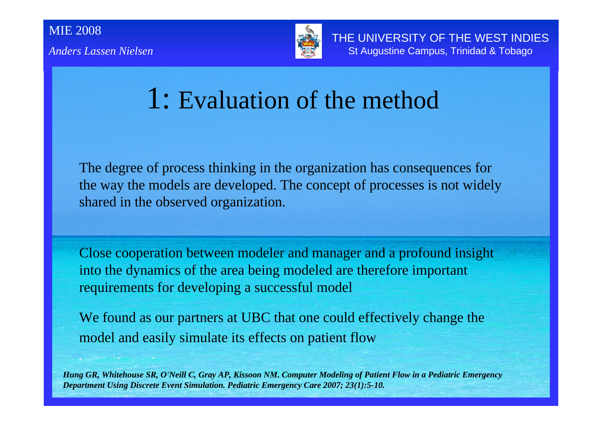

THE UNIVERSITY OF THE WEST INDIES St Augustine Campus, Trinidad & Tobago

### 1: Evaluation of the method

The degree of process thinking in the organization has consequences for the way the models are developed. The concept of processes is not widely shared in the observed organization.

Close cooperation between modeler and manager and a profound insight into the dynamics of the area being modeled are therefore important requirements for developing a successful model

We found as our partners at UBC that one could effectively change the model and easily simulate its effects on patient flow

*Hung GR, Whitehouse SR, O'Neill C, Gray AP, Kissoon NM. Computer Modeling of Patient Flow in a Pediatric Emergency Department Using Discrete Event Simulation. Pediatric Emergency Care 2007; 23(1):5-10.*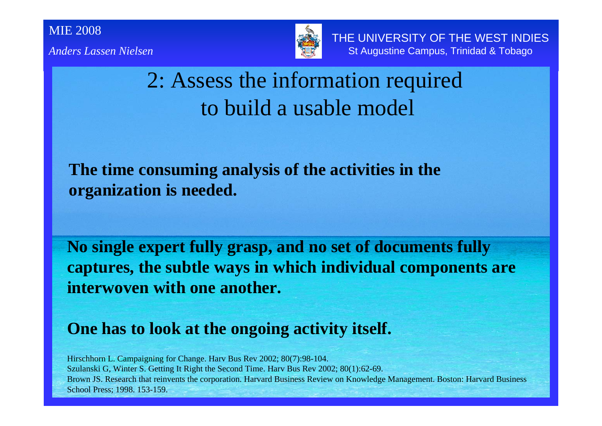

THE UNIVERSITY OF THE WEST INDIES St Augustine Campus, Trinidad & Tobago

### 2: Assess the information required to build a usable model

#### **The time consuming analysis of the activities in the organization is needed.**

**No single expert fully grasp, and no set of documents fully captures, the subtle ways in which individual components are interwoven with one another.** 

#### **One has to look at the ongoing activity itself.**

Hirschhorn L. Campaigning for Change. Harv Bus Rev 2002; 80(7):98-104. Szulanski G, Winter S. Getting It Right the Second Time. Harv Bus Rev 2002; 80(1):62-69. Brown JS. Research that reinvents the corporation. Harvard Business Review on Knowledge Management. Boston: Harvard Business School Press; 1998. 153-159.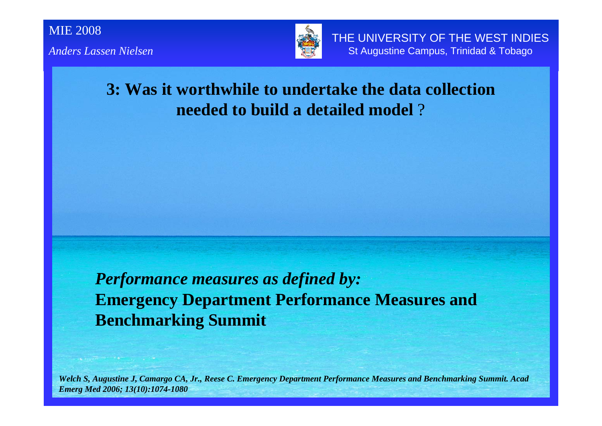

THE UNIVERSITY OF THE WEST INDIES St Augustine Campus, Trinidad & Tobago

#### **3: Was it worthwhile to undertake the data collection needed to build a detailed model** ?

*Performance measures as defined by:* **Emergency Department Performance Measures and Benchmarking Summit**

*Welch S, Augustine J, Camargo CA, Jr., Reese C. Emergency Department Performance Measures and Benchmarking Summit. Acad Emerg Med 2006; 13(10):1074-1080*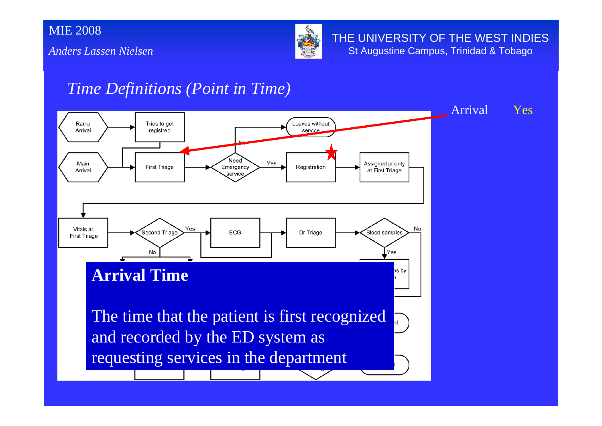*Anders Lassen Nielsen*



THE UNIVERSITY OF THE WEST INDIES St Augustine Campus, Trinidad & Tobago

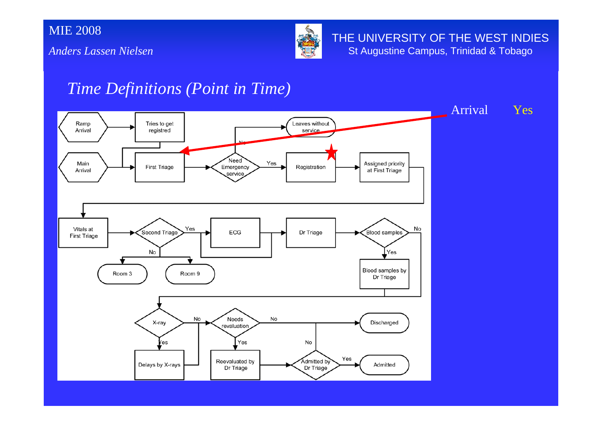*Anders Lassen Nielsen*



THE UNIVERSITY OF THE WEST INDIES St Augustine Campus, Trinidad & Tobago

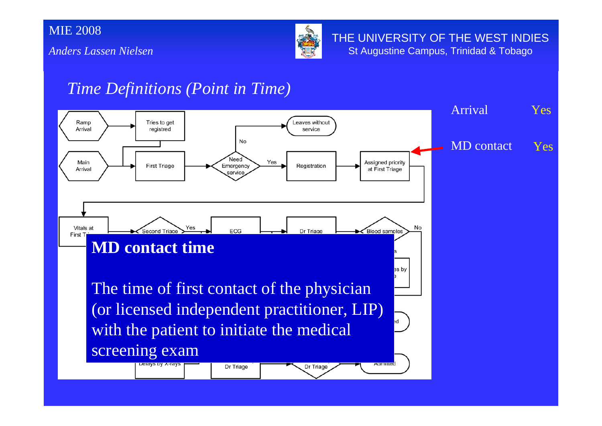*Anders Lassen Nielsen*



THE UNIVERSITY OF THE WEST INDIES St Augustine Campus, Trinidad & Tobago

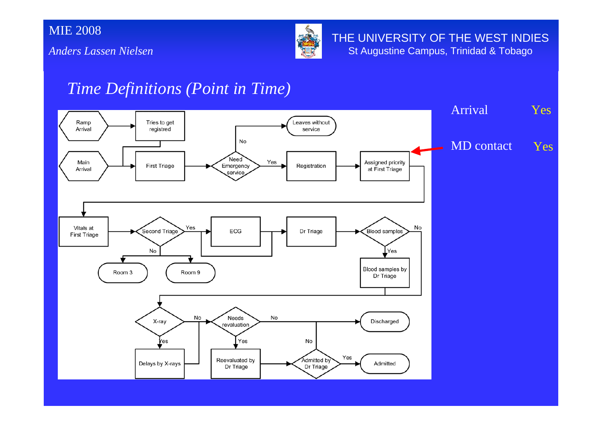*Anders Lassen Nielsen*



THE UNIVERSITY OF THE WEST INDIES St Augustine Campus, Trinidad & Tobago

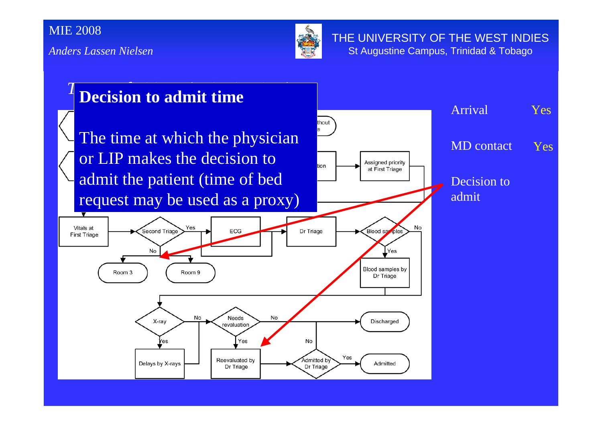*Anders Lassen Nielsen*



THE UNIVERSITY OF THE WEST INDIES St Augustine Campus, Trinidad & Tobago

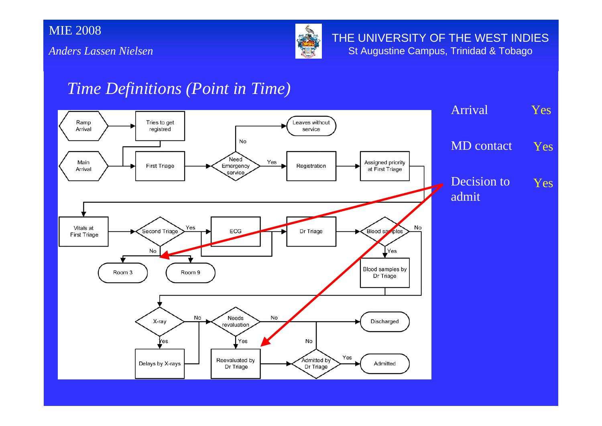*Anders Lassen Nielsen*



THE UNIVERSITY OF THE WEST INDIES St Augustine Campus, Trinidad & Tobago

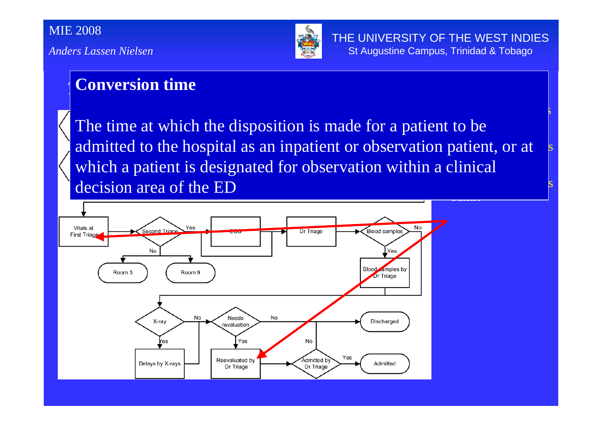

Yes

### *Time Definitions (Point in Time)* **Conversion time**

admitted to the hospital as an inpatient or observation patient, or at <u>.</u><br>m<del>itelele</del>  $\mathbb{R}^{\mathbb{Z}}$  $\mathbb{R}^{\mathbb{Z}}$ The time at which the disposition is made for a patient to be which a patient is designated for observation within a clinical decision area of the ED

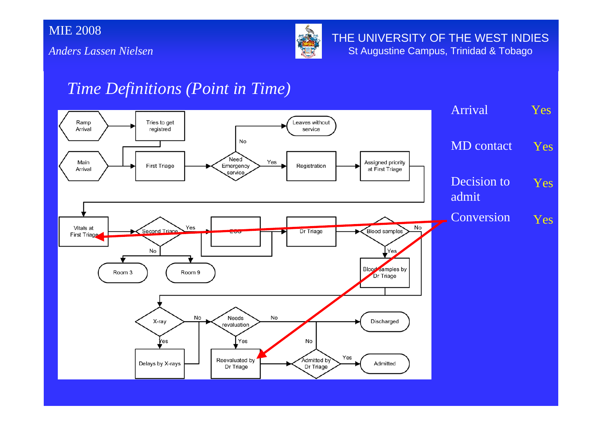*Anders Lassen Nielsen*



THE UNIVERSITY OF THE WEST INDIES St Augustine Campus, Trinidad & Tobago

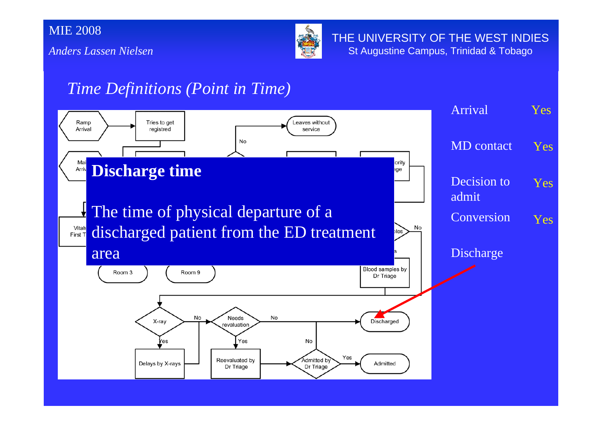*Anders Lassen Nielsen*



THE UNIVERSITY OF THE WEST INDIES St Augustine Campus, Trinidad & Tobago

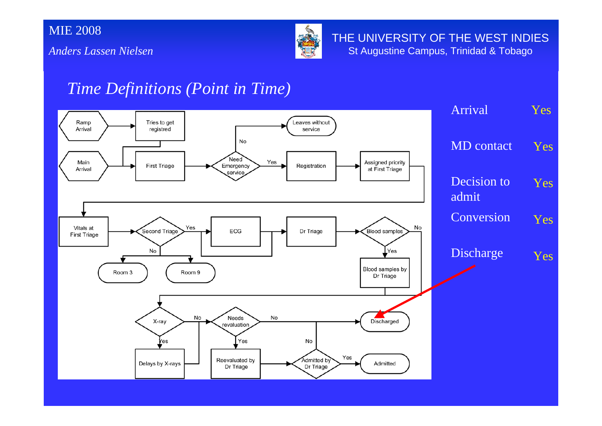*Anders Lassen Nielsen*



THE UNIVERSITY OF THE WEST INDIES St Augustine Campus, Trinidad & Tobago

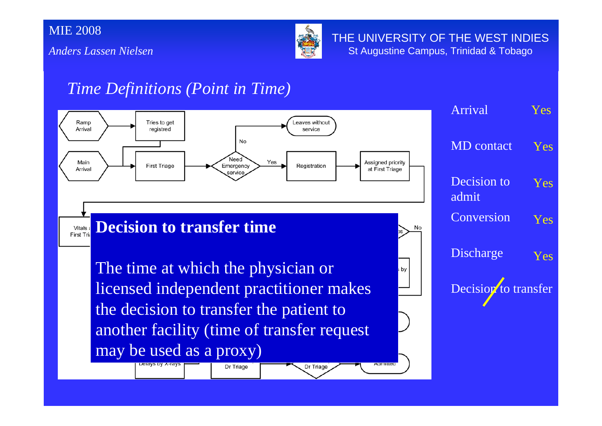*Anders Lassen Nielsen*



THE UNIVERSITY OF THE WEST INDIES St Augustine Campus, Trinidad & Tobago

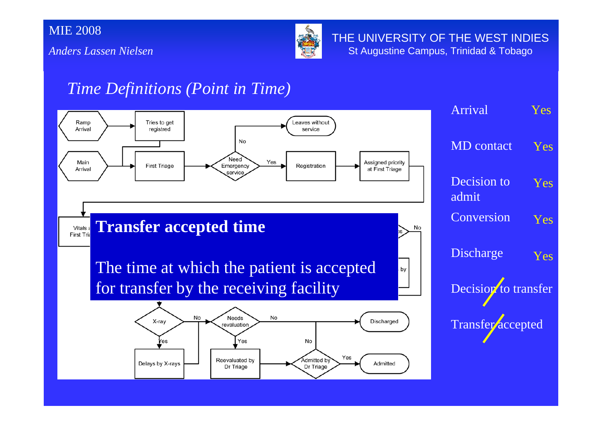*Anders Lassen Nielsen*



THE UNIVERSITY OF THE WEST INDIES St Augustine Campus, Trinidad & Tobago

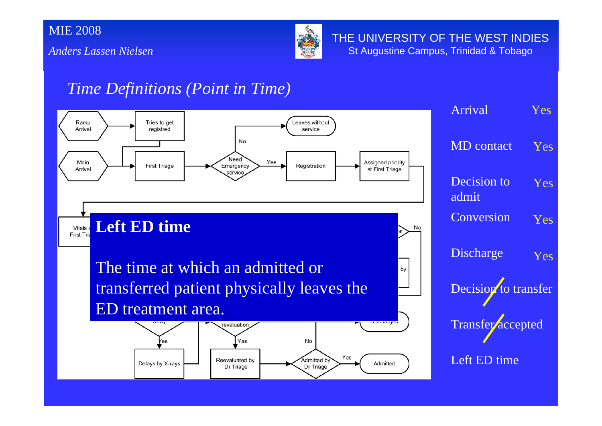*Anders Lassen Nielsen*



THE UNIVERSITY OF THE WEST INDIES St Augustine Campus, Trinidad & Tobago

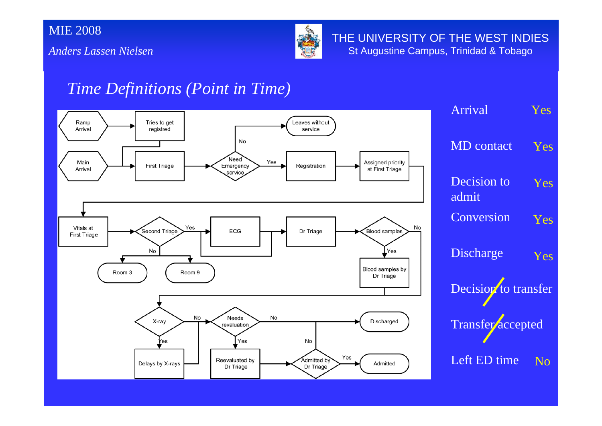*Anders Lassen Nielsen*



THE UNIVERSITY OF THE WEST INDIES St Augustine Campus, Trinidad & Tobago

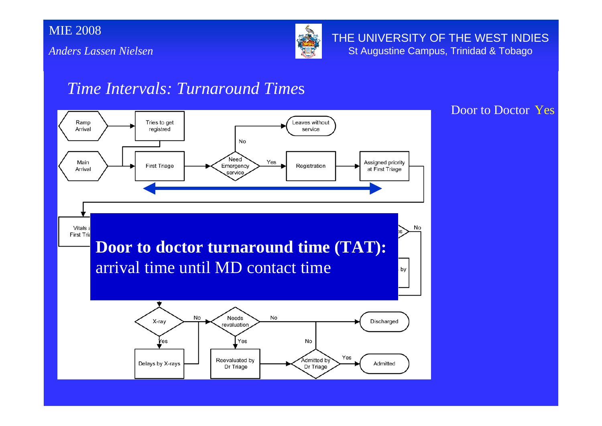

THE UNIVERSITY OF THE WEST INDIES St Augustine Campus, Trinidad & Tobago

#### *Time Intervals: Turnaround Time*<sup>s</sup>

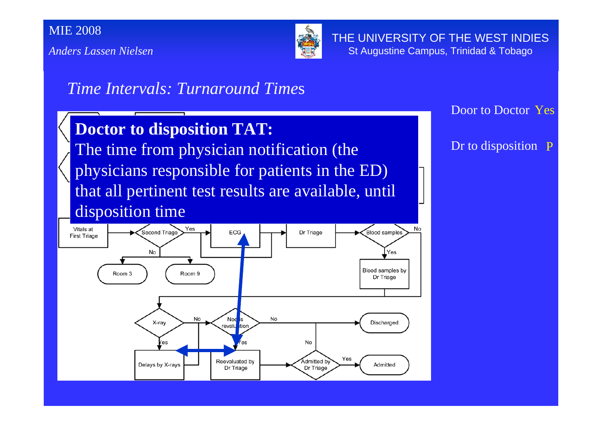*Anders Lassen Nielsen*



THE UNIVERSITY OF THE WEST INDIES St Augustine Campus, Trinidad & Tobago

#### *Time Intervals: Turnaround Time*<sup>s</sup>

#### **Doctor to disposition TAT:**

The time from physician notification (the physicians responsible for patients in the ED) that all pertinent test results are available, until disposition time

Door to Doctor Yes

Dr to disposition P

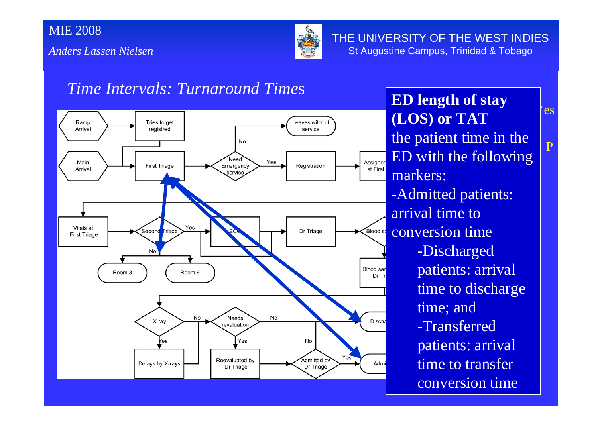

THE UNIVERSITY OF THE WEST INDIES St Augustine Campus, Trinidad & Tobago

#### *Time Intervals: Turnaround Time*<sup>s</sup>



(LOS) or TAT  $\frac{1}{2}$   $\frac{1}{2}$   $\frac{1}{2}$   $\frac{1}{2}$ **ED length of stay** the patient time in the ED with the following markers: -Admitted patients: arrival time to conversion time -Discharged patients: arrival time to discharge time; and -Transferred patients: arrival time to transfer conversion time

'es

P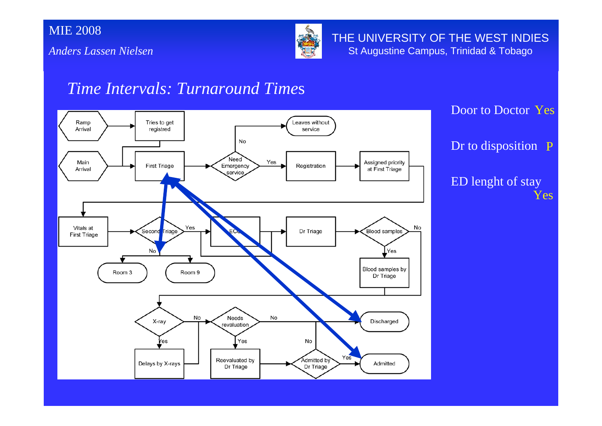

THE UNIVERSITY OF THE WEST INDIES St Augustine Campus, Trinidad & Tobago

#### *Time Intervals: Turnaround Time*<sup>s</sup>

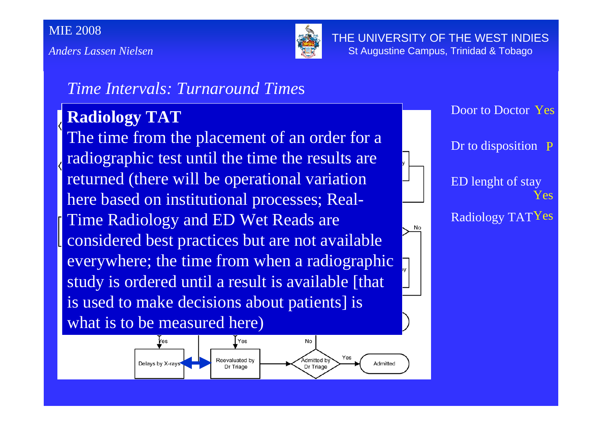*Anders Lassen Nielsen*



THE UNIVERSITY OF THE WEST INDIES St Augustine Campus, Trinidad & Tobago

#### *Time Intervals: Turnaround Time*<sup>s</sup>

#### **Radiology TAT**

The time from the placement of an order for a radiographic test until the time the results are returned (there will be operational variation here based on institutional processes; Real-Time Radiology and ED Wet Reads are considered best practices but are not available everywhere; the time from when a radiographic study is ordered until a result is available [that is used to make decisions about patients] is what is to be measured here)



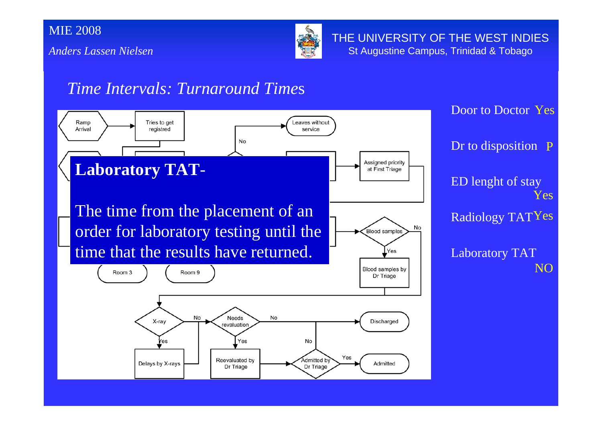

THE UNIVERSITY OF THE WEST INDIES St Augustine Campus, Trinidad & Tobago

#### *Time Intervals: Turnaround Time*<sup>s</sup>

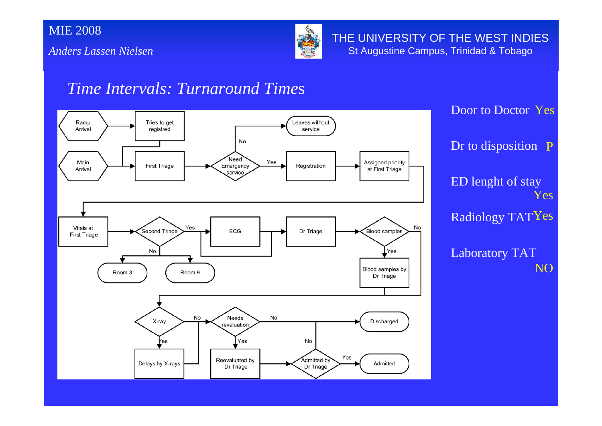

THE UNIVERSITY OF THE WEST INDIES St Augustine Campus, Trinidad & Tobago

#### *Time Intervals: Turnaround Time*<sup>s</sup>

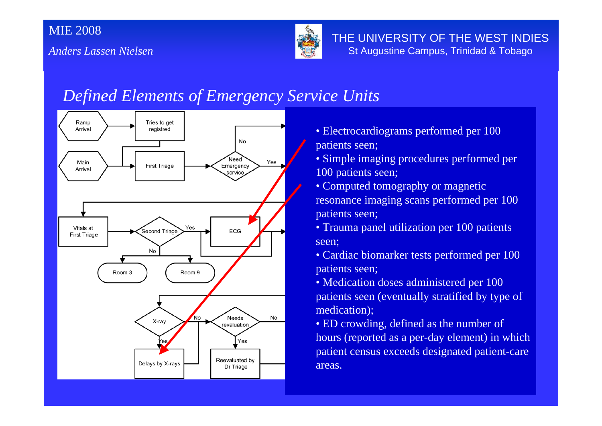

THE UNIVERSITY OF THE WEST INDIES St Augustine Campus, Trinidad & Tobago

### *Defined Elements of Emergency Service Units*



- Electrocardiograms performed per 100 patients seen;
- Simple imaging procedures performed per 100 patients seen;
- Computed tomography or magnetic resonance imaging scans performed per 100 patients seen;
- Trauma panel utilization per 100 patients seen;
- Cardiac biomarker tests performed per 100 patients seen;
- Medication doses administered per 100 patients seen (eventually stratified by type of medication);
- ED crowding, defined as the number of hours (reported as a per-day element) in which patient census exceeds designated patient-care areas.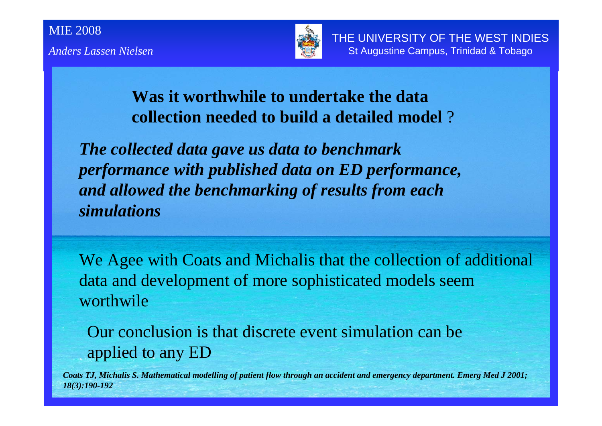

#### **Was it worthwhile to undertake the data collection needed to build a detailed model** ?

*The collected data gave us data to benchmark performance with published data on ED performance, and allowed the benchmarking of results from each simulations* 

We Agee with Coats and Michalis that the collection of additional data and development of more sophisticated models seem worthwile

Our conclusion is that discrete event simulation can be applied to any ED

*Coats TJ, Michalis S. Mathematical modelling of patient flow through an accident and emergency department. Emerg Med J 2001; 18(3):190-192*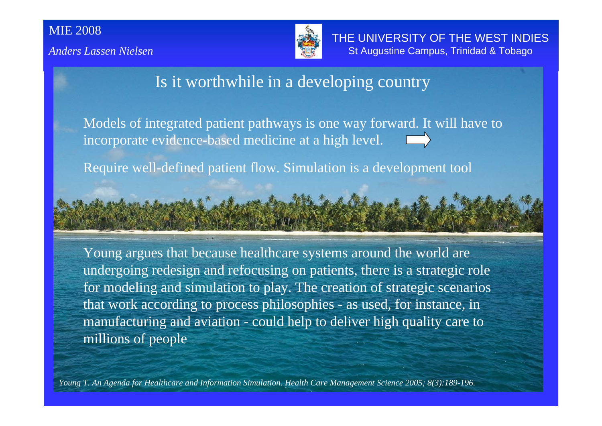

THE UNIVERSITY OF THE WEST INDIES St Augustine Campus, Trinidad & Tobago

#### Is it worthwhile in a developing country

Models of integrated patient pathways is one way forward. It will have to incorporate evidence-based medicine at a high level.

Require well-defined patient flow. Simulation is a development tool

Young argues that because healthcare systems around the world are undergoing redesign and refocusing on patients, there is a strategic role for modeling and simulation to play. The creation of strategic scenarios that work according to process philosophies - as used, for instance, in manufacturing and aviation - could help to deliver high quality care to millions of people

*Young T. An Agenda for Healthcare and Information Simulation. Health Care Management Science 2005; 8(3):189-196.*